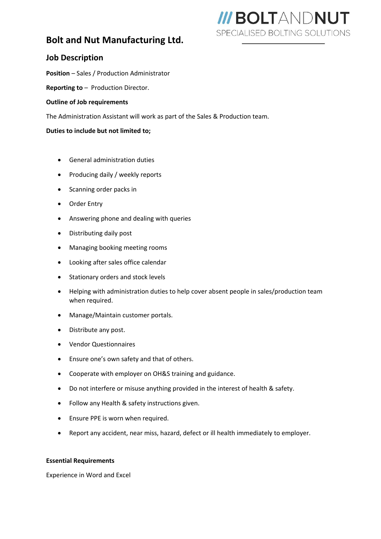## **Bolt and Nut Manufacturing Ltd.**

# **III BOLTANDNUT** SPECIALISED BOLTING SOLUTIONS

### **Job Description**

**Position** – Sales / Production Administrator

**Reporting to** – Production Director.

#### **Outline of Job requirements**

The Administration Assistant will work as part of the Sales & Production team.

#### **Duties to include but not limited to;**

- General administration duties
- Producing daily / weekly reports
- Scanning order packs in
- Order Entry
- Answering phone and dealing with queries
- Distributing daily post
- Managing booking meeting rooms
- Looking after sales office calendar
- Stationary orders and stock levels
- Helping with administration duties to help cover absent people in sales/production team when required.
- Manage/Maintain customer portals.
- Distribute any post.
- Vendor Questionnaires
- Ensure one's own safety and that of others.
- Cooperate with employer on OH&S training and guidance.
- Do not interfere or misuse anything provided in the interest of health & safety.
- Follow any Health & safety instructions given.
- Ensure PPE is worn when required.
- Report any accident, near miss, hazard, defect or ill health immediately to employer.

#### **Essential Requirements**

Experience in Word and Excel